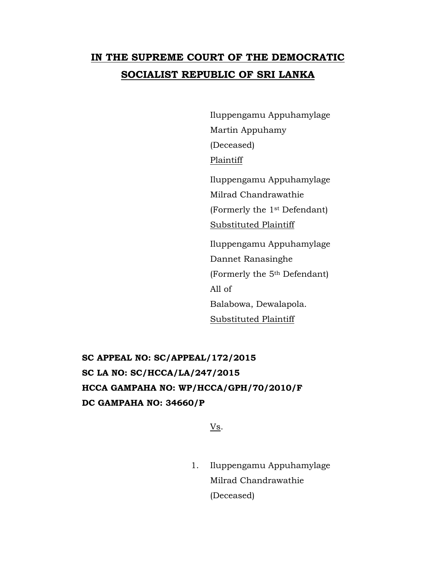# **IN THE SUPREME COURT OF THE DEMOCRATIC SOCIALIST REPUBLIC OF SRI LANKA**

Iluppengamu Appuhamylage Martin Appuhamy (Deceased) Plaintiff Iluppengamu Appuhamylage Milrad Chandrawathie (Formerly the 1st Defendant) Substituted Plaintiff

Iluppengamu Appuhamylage Dannet Ranasinghe (Formerly the 5th Defendant) All of Balabowa, Dewalapola. Substituted Plaintiff

**SC APPEAL NO: SC/APPEAL/172/2015 SC LA NO: SC/HCCA/LA/247/2015 HCCA GAMPAHA NO: WP/HCCA/GPH/70/2010/F DC GAMPAHA NO: 34660/P**

Vs.

1. Iluppengamu Appuhamylage Milrad Chandrawathie (Deceased)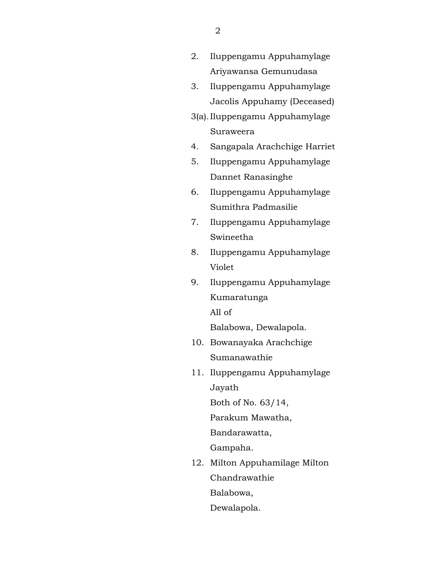- 2. Iluppengamu Appuhamylage Ariyawansa Gemunudasa
- 3. Iluppengamu Appuhamylage Jacolis Appuhamy (Deceased)
- 3(a).Iluppengamu Appuhamylage Suraweera
- 4. Sangapala Arachchige Harriet
- 5. Iluppengamu Appuhamylage Dannet Ranasinghe
- 6. Iluppengamu Appuhamylage Sumithra Padmasilie
- 7. Iluppengamu Appuhamylage Swineetha
- 8. Iluppengamu Appuhamylage Violet
- 9. Iluppengamu Appuhamylage Kumaratunga All of

Balabowa, Dewalapola.

- 10. Bowanayaka Arachchige Sumanawathie
- 11. Iluppengamu Appuhamylage Jayath

Both of No. 63/14,

Parakum Mawatha,

Bandarawatta,

Gampaha.

12. Milton Appuhamilage Milton Chandrawathie Balabowa,

Dewalapola.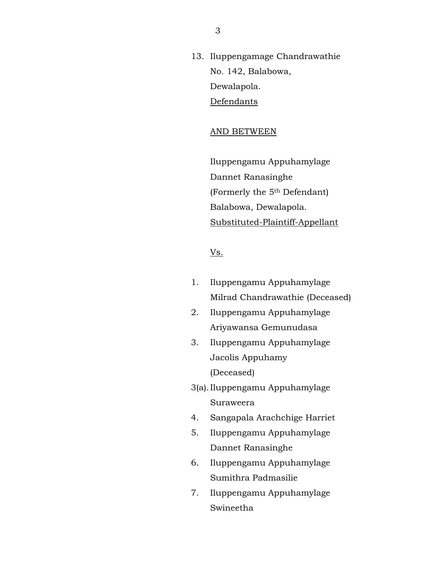13. Iluppengamage Chandrawathie No. 142, Balabowa, Dewalapola. Defendants

## AND BETWEEN

Iluppengamu Appuhamylage Dannet Ranasinghe (Formerly the 5th Defendant) Balabowa, Dewalapola. Substituted-Plaintiff-Appellant

# Vs.

- 1. Iluppengamu Appuhamylage Milrad Chandrawathie (Deceased)
- 2. Iluppengamu Appuhamylage Ariyawansa Gemunudasa
- 3. Iluppengamu Appuhamylage Jacolis Appuhamy (Deceased)
- 3(a).Iluppengamu Appuhamylage Suraweera
- 4. Sangapala Arachchige Harriet
- 5. Iluppengamu Appuhamylage Dannet Ranasinghe
- 6. Iluppengamu Appuhamylage Sumithra Padmasilie
- 7. Iluppengamu Appuhamylage Swineetha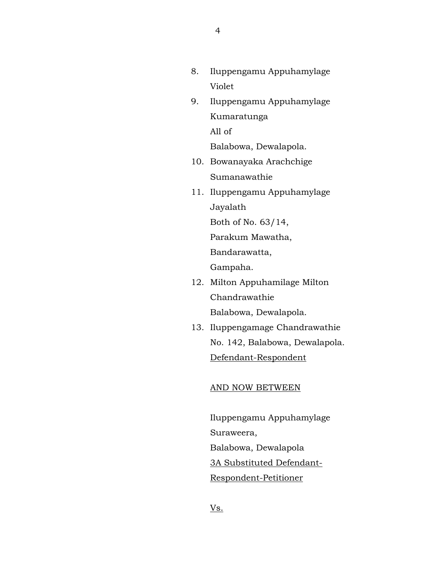- 8. Iluppengamu Appuhamylage Violet
- 9. Iluppengamu Appuhamylage Kumaratunga All of

Balabowa, Dewalapola.

- 10. Bowanayaka Arachchige Sumanawathie
- 11. Iluppengamu Appuhamylage Jayalath Both of No. 63/14,

Parakum Mawatha,

Bandarawatta,

Gampaha.

- 12. Milton Appuhamilage Milton Chandrawathie Balabowa, Dewalapola.
- 13. Iluppengamage Chandrawathie No. 142, Balabowa, Dewalapola. Defendant-Respondent

## AND NOW BETWEEN

Iluppengamu Appuhamylage Suraweera, Balabowa, Dewalapola 3A Substituted Defendant-Respondent-Petitioner

4

Vs.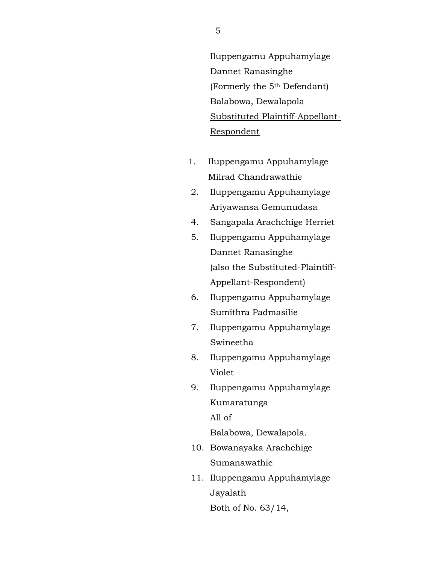Iluppengamu Appuhamylage Dannet Ranasinghe (Formerly the 5th Defendant) Balabowa, Dewalapola Substituted Plaintiff-Appellant-Respondent

- 1. Iluppengamu Appuhamylage Milrad Chandrawathie
- 2. Iluppengamu Appuhamylage Ariyawansa Gemunudasa
- 4. Sangapala Arachchige Herriet
- 5. Iluppengamu Appuhamylage Dannet Ranasinghe (also the Substituted-Plaintiff-Appellant-Respondent)
- 6. Iluppengamu Appuhamylage Sumithra Padmasilie
- 7. Iluppengamu Appuhamylage Swineetha
- 8. Iluppengamu Appuhamylage Violet
- 9. Iluppengamu Appuhamylage Kumaratunga All of

Balabowa, Dewalapola.

- 10. Bowanayaka Arachchige Sumanawathie
- 11. Iluppengamu Appuhamylage Jayalath

Both of No. 63/14,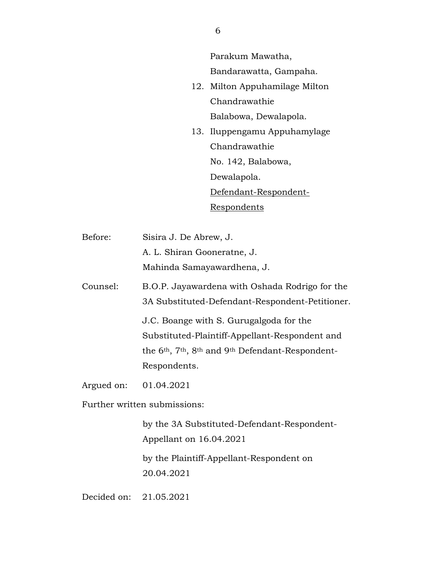Parakum Mawatha, Bandarawatta, Gampaha.

- 12. Milton Appuhamilage Milton Chandrawathie Balabowa, Dewalapola.
- 13. Iluppengamu Appuhamylage Chandrawathie No. 142, Balabowa, Dewalapola. Defendant-Respondent-Respondents
- Before: Sisira J. De Abrew, J. A. L. Shiran Gooneratne, J. Mahinda Samayawardhena, J.
- Counsel: B.O.P. Jayawardena with Oshada Rodrigo for the 3A Substituted-Defendant-Respondent-Petitioner.

J.C. Boange with S. Gurugalgoda for the Substituted-Plaintiff-Appellant-Respondent and the 6th, 7th, 8th and 9th Defendant-Respondent-Respondents.

Argued on: 01.04.2021

Further written submissions:

by the 3A Substituted-Defendant-Respondent-Appellant on 16.04.2021

by the Plaintiff-Appellant-Respondent on 20.04.2021

Decided on: 21.05.2021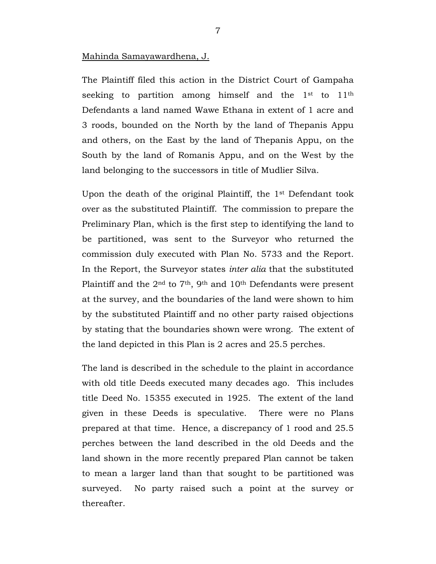## Mahinda Samayawardhena, J.

The Plaintiff filed this action in the District Court of Gampaha seeking to partition among himself and the 1<sup>st</sup> to 11<sup>th</sup> Defendants a land named Wawe Ethana in extent of 1 acre and 3 roods, bounded on the North by the land of Thepanis Appu and others, on the East by the land of Thepanis Appu, on the South by the land of Romanis Appu, and on the West by the land belonging to the successors in title of Mudlier Silva.

Upon the death of the original Plaintiff, the 1st Defendant took over as the substituted Plaintiff. The commission to prepare the Preliminary Plan, which is the first step to identifying the land to be partitioned, was sent to the Surveyor who returned the commission duly executed with Plan No. 5733 and the Report. In the Report, the Surveyor states *inter alia* that the substituted Plaintiff and the  $2<sup>nd</sup>$  to  $7<sup>th</sup>$ , 9<sup>th</sup> and 10<sup>th</sup> Defendants were present at the survey, and the boundaries of the land were shown to him by the substituted Plaintiff and no other party raised objections by stating that the boundaries shown were wrong. The extent of the land depicted in this Plan is 2 acres and 25.5 perches.

The land is described in the schedule to the plaint in accordance with old title Deeds executed many decades ago. This includes title Deed No. 15355 executed in 1925. The extent of the land given in these Deeds is speculative. There were no Plans prepared at that time. Hence, a discrepancy of 1 rood and 25.5 perches between the land described in the old Deeds and the land shown in the more recently prepared Plan cannot be taken to mean a larger land than that sought to be partitioned was surveyed. No party raised such a point at the survey or thereafter.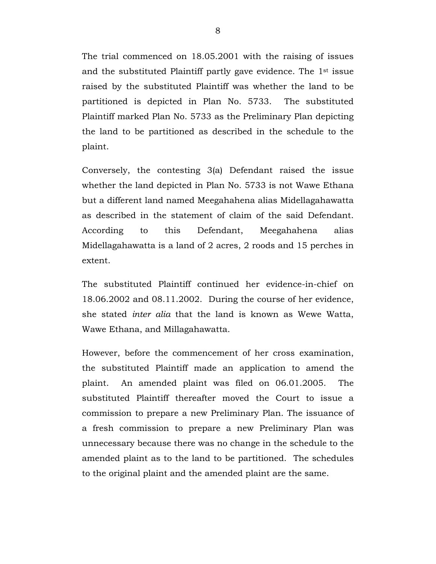The trial commenced on 18.05.2001 with the raising of issues and the substituted Plaintiff partly gave evidence. The 1st issue raised by the substituted Plaintiff was whether the land to be partitioned is depicted in Plan No. 5733. The substituted Plaintiff marked Plan No. 5733 as the Preliminary Plan depicting the land to be partitioned as described in the schedule to the plaint.

Conversely, the contesting 3(a) Defendant raised the issue whether the land depicted in Plan No. 5733 is not Wawe Ethana but a different land named Meegahahena alias Midellagahawatta as described in the statement of claim of the said Defendant. According to this Defendant, Meegahahena alias Midellagahawatta is a land of 2 acres, 2 roods and 15 perches in extent.

The substituted Plaintiff continued her evidence-in-chief on 18.06.2002 and 08.11.2002. During the course of her evidence, she stated *inter alia* that the land is known as Wewe Watta, Wawe Ethana, and Millagahawatta.

However, before the commencement of her cross examination, the substituted Plaintiff made an application to amend the plaint. An amended plaint was filed on 06.01.2005. The substituted Plaintiff thereafter moved the Court to issue a commission to prepare a new Preliminary Plan. The issuance of a fresh commission to prepare a new Preliminary Plan was unnecessary because there was no change in the schedule to the amended plaint as to the land to be partitioned. The schedules to the original plaint and the amended plaint are the same.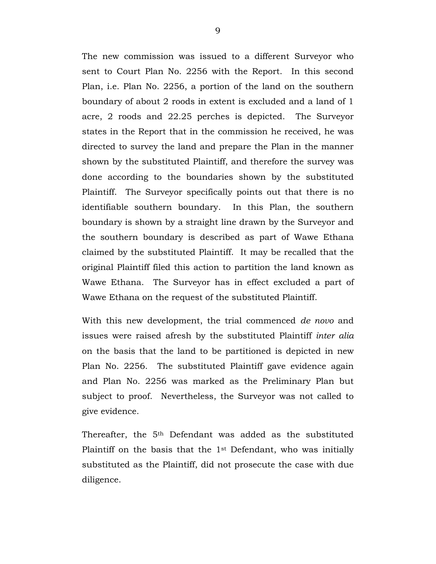The new commission was issued to a different Surveyor who sent to Court Plan No. 2256 with the Report. In this second Plan, i.e. Plan No. 2256, a portion of the land on the southern boundary of about 2 roods in extent is excluded and a land of 1 acre, 2 roods and 22.25 perches is depicted. The Surveyor states in the Report that in the commission he received, he was directed to survey the land and prepare the Plan in the manner shown by the substituted Plaintiff, and therefore the survey was done according to the boundaries shown by the substituted Plaintiff. The Surveyor specifically points out that there is no identifiable southern boundary. In this Plan, the southern boundary is shown by a straight line drawn by the Surveyor and the southern boundary is described as part of Wawe Ethana claimed by the substituted Plaintiff. It may be recalled that the original Plaintiff filed this action to partition the land known as Wawe Ethana. The Surveyor has in effect excluded a part of Wawe Ethana on the request of the substituted Plaintiff.

With this new development, the trial commenced *de novo* and issues were raised afresh by the substituted Plaintiff *inter alia* on the basis that the land to be partitioned is depicted in new Plan No. 2256. The substituted Plaintiff gave evidence again and Plan No. 2256 was marked as the Preliminary Plan but subject to proof. Nevertheless, the Surveyor was not called to give evidence.

Thereafter, the 5<sup>th</sup> Defendant was added as the substituted Plaintiff on the basis that the  $1<sup>st</sup>$  Defendant, who was initially substituted as the Plaintiff, did not prosecute the case with due diligence.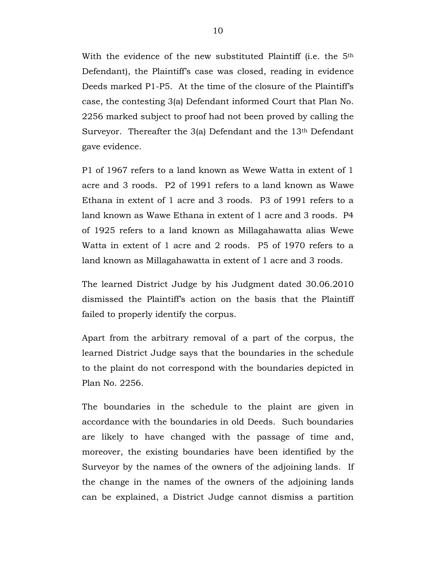With the evidence of the new substituted Plaintiff (i.e. the 5<sup>th</sup> Defendant), the Plaintiff's case was closed, reading in evidence Deeds marked P1-P5. At the time of the closure of the Plaintiff's case, the contesting 3(a) Defendant informed Court that Plan No. 2256 marked subject to proof had not been proved by calling the Surveyor. Thereafter the 3(a) Defendant and the 13<sup>th</sup> Defendant gave evidence.

P1 of 1967 refers to a land known as Wewe Watta in extent of 1 acre and 3 roods. P2 of 1991 refers to a land known as Wawe Ethana in extent of 1 acre and 3 roods. P3 of 1991 refers to a land known as Wawe Ethana in extent of 1 acre and 3 roods. P4 of 1925 refers to a land known as Millagahawatta alias Wewe Watta in extent of 1 acre and 2 roods. P5 of 1970 refers to a land known as Millagahawatta in extent of 1 acre and 3 roods.

The learned District Judge by his Judgment dated 30.06.2010 dismissed the Plaintiff's action on the basis that the Plaintiff failed to properly identify the corpus.

Apart from the arbitrary removal of a part of the corpus, the learned District Judge says that the boundaries in the schedule to the plaint do not correspond with the boundaries depicted in Plan No. 2256.

The boundaries in the schedule to the plaint are given in accordance with the boundaries in old Deeds. Such boundaries are likely to have changed with the passage of time and, moreover, the existing boundaries have been identified by the Surveyor by the names of the owners of the adjoining lands. If the change in the names of the owners of the adjoining lands can be explained, a District Judge cannot dismiss a partition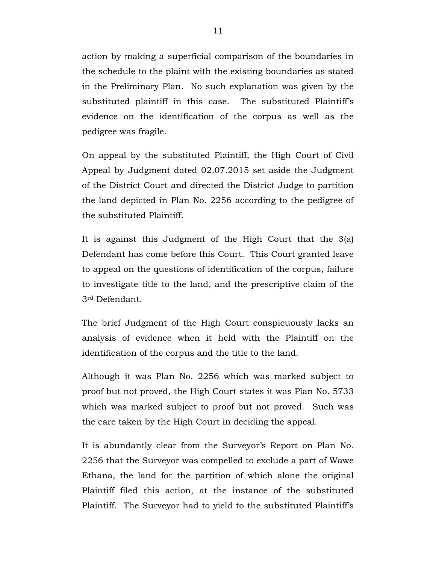action by making a superficial comparison of the boundaries in the schedule to the plaint with the existing boundaries as stated in the Preliminary Plan. No such explanation was given by the substituted plaintiff in this case. The substituted Plaintiff's evidence on the identification of the corpus as well as the pedigree was fragile.

On appeal by the substituted Plaintiff, the High Court of Civil Appeal by Judgment dated 02.07.2015 set aside the Judgment of the District Court and directed the District Judge to partition the land depicted in Plan No. 2256 according to the pedigree of the substituted Plaintiff.

It is against this Judgment of the High Court that the 3(a) Defendant has come before this Court. This Court granted leave to appeal on the questions of identification of the corpus, failure to investigate title to the land, and the prescriptive claim of the 3rd Defendant.

The brief Judgment of the High Court conspicuously lacks an analysis of evidence when it held with the Plaintiff on the identification of the corpus and the title to the land.

Although it was Plan No. 2256 which was marked subject to proof but not proved, the High Court states it was Plan No. 5733 which was marked subject to proof but not proved. Such was the care taken by the High Court in deciding the appeal.

It is abundantly clear from the Surveyor's Report on Plan No. 2256 that the Surveyor was compelled to exclude a part of Wawe Ethana, the land for the partition of which alone the original Plaintiff filed this action, at the instance of the substituted Plaintiff. The Surveyor had to yield to the substituted Plaintiff's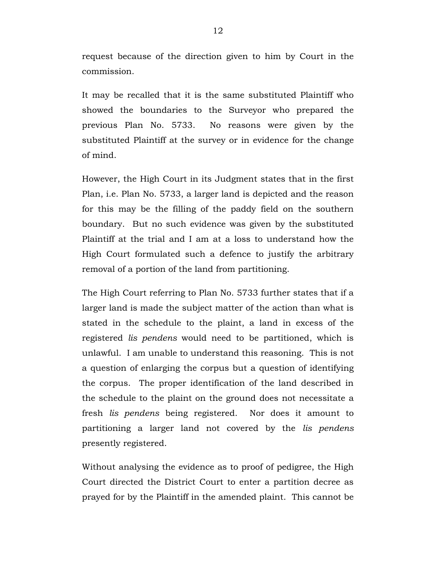request because of the direction given to him by Court in the commission.

It may be recalled that it is the same substituted Plaintiff who showed the boundaries to the Surveyor who prepared the previous Plan No. 5733. No reasons were given by the substituted Plaintiff at the survey or in evidence for the change of mind.

However, the High Court in its Judgment states that in the first Plan, i.e. Plan No. 5733, a larger land is depicted and the reason for this may be the filling of the paddy field on the southern boundary. But no such evidence was given by the substituted Plaintiff at the trial and I am at a loss to understand how the High Court formulated such a defence to justify the arbitrary removal of a portion of the land from partitioning.

The High Court referring to Plan No. 5733 further states that if a larger land is made the subject matter of the action than what is stated in the schedule to the plaint, a land in excess of the registered *lis pendens* would need to be partitioned, which is unlawful. I am unable to understand this reasoning. This is not a question of enlarging the corpus but a question of identifying the corpus. The proper identification of the land described in the schedule to the plaint on the ground does not necessitate a fresh *lis pendens* being registered. Nor does it amount to partitioning a larger land not covered by the *lis pendens* presently registered.

Without analysing the evidence as to proof of pedigree, the High Court directed the District Court to enter a partition decree as prayed for by the Plaintiff in the amended plaint. This cannot be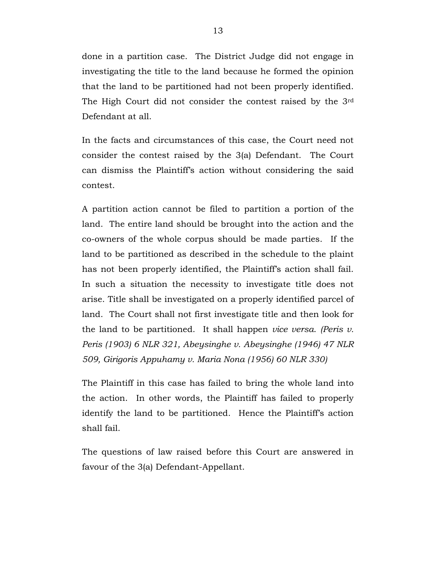done in a partition case. The District Judge did not engage in investigating the title to the land because he formed the opinion that the land to be partitioned had not been properly identified. The High Court did not consider the contest raised by the 3rd Defendant at all.

In the facts and circumstances of this case, the Court need not consider the contest raised by the 3(a) Defendant. The Court can dismiss the Plaintiff's action without considering the said contest.

A partition action cannot be filed to partition a portion of the land. The entire land should be brought into the action and the co-owners of the whole corpus should be made parties. If the land to be partitioned as described in the schedule to the plaint has not been properly identified, the Plaintiff's action shall fail. In such a situation the necessity to investigate title does not arise. Title shall be investigated on a properly identified parcel of land. The Court shall not first investigate title and then look for the land to be partitioned. It shall happen *vice versa*. *(Peris v. Peris (1903) 6 NLR 321, Abeysinghe v. Abeysinghe (1946) 47 NLR 509, Girigoris Appuhamy v. Maria Nona (1956) 60 NLR 330)*

The Plaintiff in this case has failed to bring the whole land into the action. In other words, the Plaintiff has failed to properly identify the land to be partitioned. Hence the Plaintiff's action shall fail.

The questions of law raised before this Court are answered in favour of the 3(a) Defendant-Appellant.